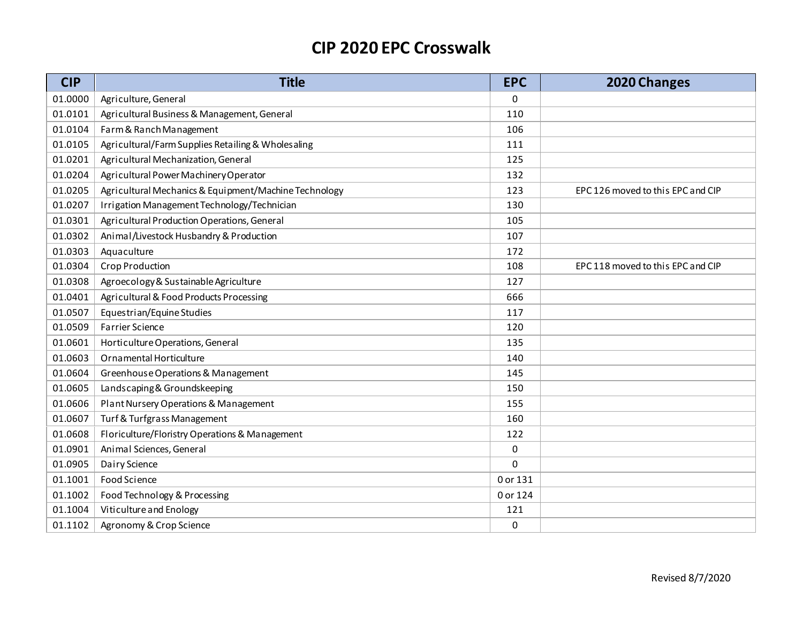| <b>CIP</b> | <b>Title</b>                                          | <b>EPC</b> | 2020 Changes                      |
|------------|-------------------------------------------------------|------------|-----------------------------------|
| 01.0000    | Agriculture, General                                  | 0          |                                   |
| 01.0101    | Agricultural Business & Management, General           | 110        |                                   |
| 01.0104    | Farm & Ranch Management                               | 106        |                                   |
| 01.0105    | Agricultural/Farm Supplies Retailing & Wholesaling    | 111        |                                   |
| 01.0201    | Agricultural Mechanization, General                   | 125        |                                   |
| 01.0204    | Agricultural Power Machinery Operator                 | 132        |                                   |
| 01.0205    | Agricultural Mechanics & Equipment/Machine Technology | 123        | EPC 126 moved to this EPC and CIP |
| 01.0207    | Irrigation Management Technology/Technician           | 130        |                                   |
| 01.0301    | Agricultural Production Operations, General           | 105        |                                   |
| 01.0302    | Animal/Livestock Husbandry & Production               | 107        |                                   |
| 01.0303    | Aquaculture                                           | 172        |                                   |
| 01.0304    | <b>Crop Production</b>                                | 108        | EPC 118 moved to this EPC and CIP |
| 01.0308    | Agroecology & Sustainable Agriculture                 | 127        |                                   |
| 01.0401    | Agricultural & Food Products Processing               | 666        |                                   |
| 01.0507    | Equestrian/Equine Studies                             | 117        |                                   |
| 01.0509    | <b>Farrier Science</b>                                | 120        |                                   |
| 01.0601    | Horticulture Operations, General                      | 135        |                                   |
| 01.0603    | Ornamental Horticulture                               | 140        |                                   |
| 01.0604    | Greenhouse Operations & Management                    | 145        |                                   |
| 01.0605    | Landscaping & Groundskeeping                          | 150        |                                   |
| 01.0606    | Plant Nursery Operations & Management                 | 155        |                                   |
| 01.0607    | Turf & Turfgrass Management                           | 160        |                                   |
| 01.0608    | Floriculture/Floristry Operations & Management        | 122        |                                   |
| 01.0901    | Animal Sciences, General                              | 0          |                                   |
| 01.0905    | Dairy Science                                         | 0          |                                   |
| 01.1001    | Food Science                                          | 0 or 131   |                                   |
| 01.1002    | Food Technology & Processing                          | 0 or 124   |                                   |
| 01.1004    | Viticulture and Enology                               | 121        |                                   |
| 01.1102    | Agronomy & Crop Science                               | 0          |                                   |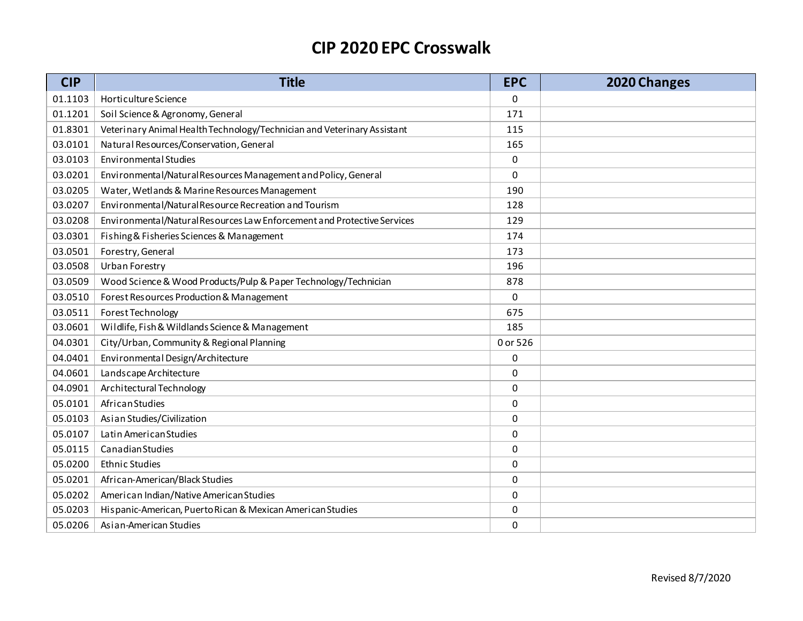| <b>CIP</b> | <b>Title</b>                                                            | <b>EPC</b> | 2020 Changes |
|------------|-------------------------------------------------------------------------|------------|--------------|
| 01.1103    | Horticulture Science                                                    | 0          |              |
| 01.1201    | Soil Science & Agronomy, General                                        | 171        |              |
| 01.8301    | Veterinary Animal Health Technology/Technician and Veterinary Assistant | 115        |              |
| 03.0101    | Natural Resources/Conservation, General                                 | 165        |              |
| 03.0103    | <b>Environmental Studies</b>                                            | 0          |              |
| 03.0201    | Environmental/Natural Resources Management and Policy, General          | 0          |              |
| 03.0205    | Water, Wetlands & Marine Resources Management                           | 190        |              |
| 03.0207    | Environmental/Natural Resource Recreation and Tourism                   | 128        |              |
| 03.0208    | Environmental/Natural Resources Law Enforcement and Protective Services | 129        |              |
| 03.0301    | Fishing & Fisheries Sciences & Management                               | 174        |              |
| 03.0501    | Forestry, General                                                       | 173        |              |
| 03.0508    | Urban Forestry                                                          | 196        |              |
| 03.0509    | Wood Science & Wood Products/Pulp & Paper Technology/Technician         | 878        |              |
| 03.0510    | Forest Resources Production & Management                                | 0          |              |
| 03.0511    | Forest Technology                                                       | 675        |              |
| 03.0601    | Wildlife, Fish & Wildlands Science & Management                         | 185        |              |
| 04.0301    | City/Urban, Community & Regional Planning                               | 0 or 526   |              |
| 04.0401    | Environmental Design/Architecture                                       | 0          |              |
| 04.0601    | Landscape Architecture                                                  | 0          |              |
| 04.0901    | Architectural Technology                                                | 0          |              |
| 05.0101    | African Studies                                                         | 0          |              |
| 05.0103    | Asian Studies/Civilization                                              | 0          |              |
| 05.0107    | Latin American Studies                                                  | 0          |              |
| 05.0115    | Canadian Studies                                                        | 0          |              |
| 05.0200    | <b>Ethnic Studies</b>                                                   | 0          |              |
| 05.0201    | African-American/Black Studies                                          | 0          |              |
| 05.0202    | American Indian/Native American Studies                                 | 0          |              |
| 05.0203    | Hispanic-American, Puerto Rican & Mexican American Studies              | 0          |              |
| 05.0206    | Asian-American Studies                                                  | 0          |              |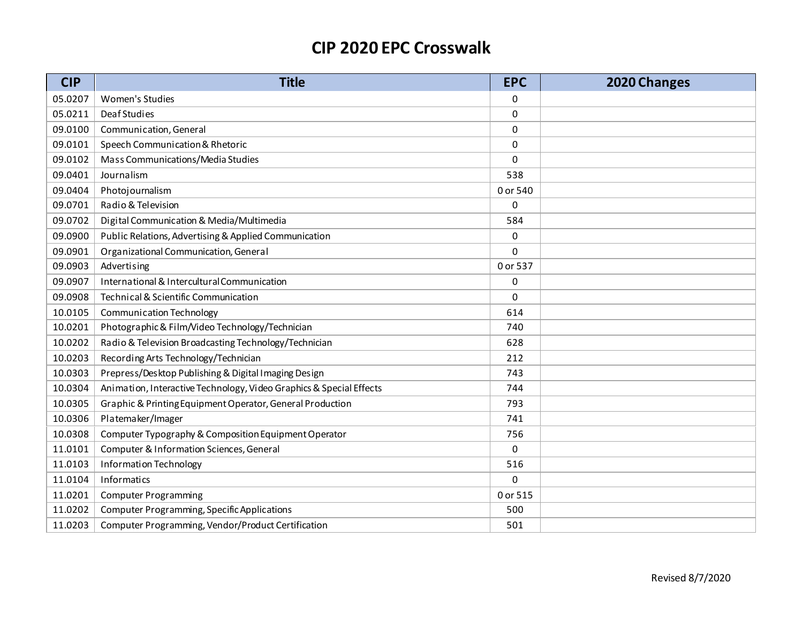| <b>CIP</b> | <b>Title</b>                                                        | <b>EPC</b> | 2020 Changes |
|------------|---------------------------------------------------------------------|------------|--------------|
| 05.0207    | Women's Studies                                                     | 0          |              |
| 05.0211    | Deaf Studies                                                        | 0          |              |
| 09.0100    | Communication, General                                              | 0          |              |
| 09.0101    | Speech Communication & Rhetoric                                     | $\Omega$   |              |
| 09.0102    | Mass Communications/Media Studies                                   | $\Omega$   |              |
| 09.0401    | Journalism                                                          | 538        |              |
| 09.0404    | Photojournalism                                                     | 0 or 540   |              |
| 09.0701    | Radio & Television                                                  | 0          |              |
| 09.0702    | Digital Communication & Media/Multimedia                            | 584        |              |
| 09.0900    | Public Relations, Advertising & Applied Communication               | 0          |              |
| 09.0901    | Organizational Communication, General                               | $\Omega$   |              |
| 09.0903    | Advertising                                                         | 0 or 537   |              |
| 09.0907    | International & Intercultural Communication                         | 0          |              |
| 09.0908    | Technical & Scientific Communication                                | 0          |              |
| 10.0105    | <b>Communication Technology</b>                                     | 614        |              |
| 10.0201    | Photographic & Film/Video Technology/Technician                     | 740        |              |
| 10.0202    | Radio & Television Broadcasting Technology/Technician               | 628        |              |
| 10.0203    | Recording Arts Technology/Technician                                | 212        |              |
| 10.0303    | Prepress/Desktop Publishing & Digital Imaging Design                | 743        |              |
| 10.0304    | Animation, Interactive Technology, Video Graphics & Special Effects | 744        |              |
| 10.0305    | Graphic & Printing Equipment Operator, General Production           | 793        |              |
| 10.0306    | Platemaker/Imager                                                   | 741        |              |
| 10.0308    | Computer Typography & Composition Equipment Operator                | 756        |              |
| 11.0101    | Computer & Information Sciences, General                            | 0          |              |
| 11.0103    | Information Technology                                              | 516        |              |
| 11.0104    | <b>Informatics</b>                                                  | 0          |              |
| 11.0201    | <b>Computer Programming</b>                                         | 0 or 515   |              |
| 11.0202    | <b>Computer Programming, Specific Applications</b>                  | 500        |              |
| 11.0203    | Computer Programming, Vendor/Product Certification                  | 501        |              |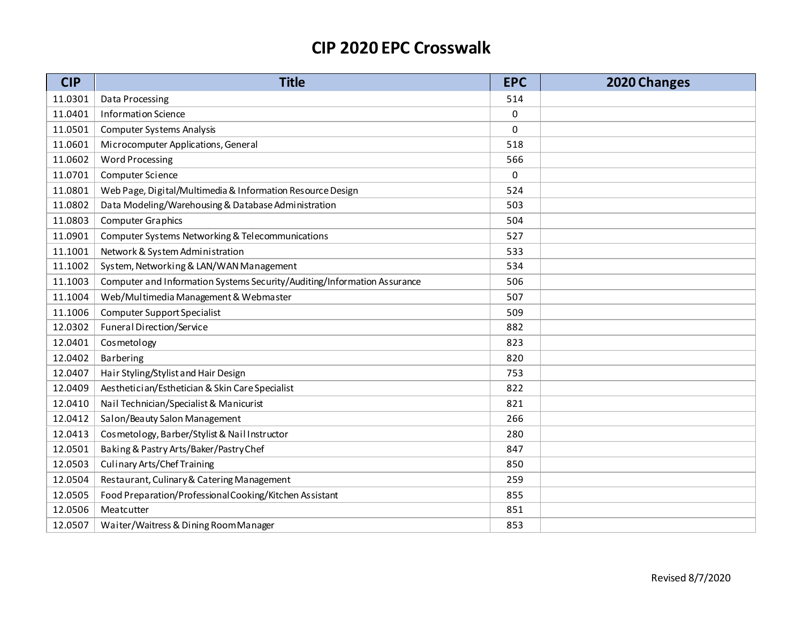| <b>CIP</b> | <b>Title</b>                                                             | <b>EPC</b>  | 2020 Changes |
|------------|--------------------------------------------------------------------------|-------------|--------------|
| 11.0301    | Data Processing                                                          | 514         |              |
| 11.0401    | <b>Information Science</b>                                               | $\mathbf 0$ |              |
| 11.0501    | <b>Computer Systems Analysis</b>                                         | 0           |              |
| 11.0601    | Microcomputer Applications, General                                      | 518         |              |
| 11.0602    | <b>Word Processing</b>                                                   | 566         |              |
| 11.0701    | Computer Science                                                         | 0           |              |
| 11.0801    | Web Page, Digital/Multimedia & Information Resource Design               | 524         |              |
| 11.0802    | Data Modeling/Warehousing & Database Administration                      | 503         |              |
| 11.0803    | <b>Computer Graphics</b>                                                 | 504         |              |
| 11.0901    | Computer Systems Networking & Telecommunications                         | 527         |              |
| 11.1001    | Network & System Administration                                          | 533         |              |
| 11.1002    | System, Networking & LAN/WAN Management                                  | 534         |              |
| 11.1003    | Computer and Information Systems Security/Auditing/Information Assurance | 506         |              |
| 11.1004    | Web/Multimedia Management & Webmaster                                    | 507         |              |
| 11.1006    | <b>Computer Support Specialist</b>                                       | 509         |              |
| 12.0302    | Funeral Direction/Service                                                | 882         |              |
| 12.0401    | Cosmetology                                                              | 823         |              |
| 12.0402    | Barbering                                                                | 820         |              |
| 12.0407    | Hair Styling/Stylist and Hair Design                                     | 753         |              |
| 12.0409    | Aesthetician/Esthetician & Skin Care Specialist                          | 822         |              |
| 12.0410    | Nail Technician/Specialist & Manicurist                                  | 821         |              |
| 12.0412    | Salon/Beauty Salon Management                                            | 266         |              |
| 12.0413    | Cosmetology, Barber/Stylist & Nail Instructor                            | 280         |              |
| 12.0501    | Baking & Pastry Arts/Baker/Pastry Chef                                   | 847         |              |
| 12.0503    | <b>Culinary Arts/Chef Training</b>                                       | 850         |              |
| 12.0504    | Restaurant, Culinary & Catering Management                               | 259         |              |
| 12.0505    | Food Preparation/Professional Cooking/Kitchen Assistant                  | 855         |              |
| 12.0506    | Meatcutter                                                               | 851         |              |
| 12.0507    | Waiter/Waitress & Dining RoomManager                                     | 853         |              |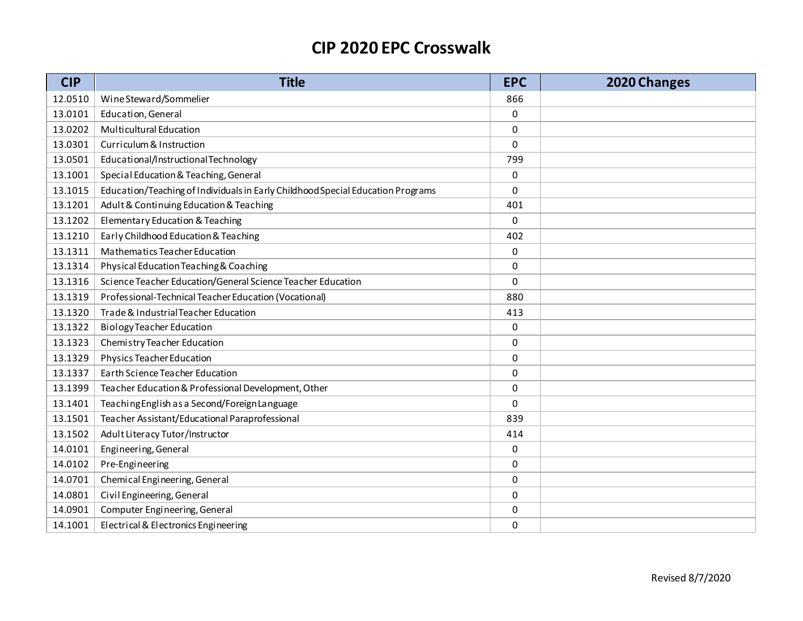| <b>CIP</b> | <b>Title</b>                                                                    | <b>EPC</b>  | 2020 Changes |
|------------|---------------------------------------------------------------------------------|-------------|--------------|
| 12.0510    | Wine Steward/Sommelier                                                          | 866         |              |
| 13.0101    | Education, General                                                              | $\pmb{0}$   |              |
| 13.0202    | Multicultural Education                                                         | 0           |              |
| 13.0301    | Curriculum & Instruction                                                        | $\Omega$    |              |
| 13.0501    | Educational/InstructionalTechnology                                             | 799         |              |
| 13.1001    | Special Education & Teaching, General                                           | 0           |              |
| 13.1015    | Education/Teaching of Individuals in Early Childhood Special Education Programs | 0           |              |
| 13.1201    | Adult & Continuing Education & Teaching                                         | 401         |              |
| 13.1202    | Elementary Education & Teaching                                                 | 0           |              |
| 13.1210    | Early Childhood Education & Teaching                                            | 402         |              |
| 13.1311    | Mathematics Teacher Education                                                   | 0           |              |
| 13.1314    | Physical Education Teaching & Coaching                                          | 0           |              |
| 13.1316    | Science Teacher Education/General Science Teacher Education                     | $\pmb{0}$   |              |
| 13.1319    | Professional-Technical Teacher Education (Vocational)                           | 880         |              |
| 13.1320    | Trade & Industrial Teacher Education                                            | 413         |              |
| 13.1322    | <b>Biology Teacher Education</b>                                                | 0           |              |
| 13.1323    | Chemistry Teacher Education                                                     | 0           |              |
| 13.1329    | Physics Teacher Education                                                       | 0           |              |
| 13.1337    | Earth Science Teacher Education                                                 | 0           |              |
| 13.1399    | Teacher Education & Professional Development, Other                             | 0           |              |
| 13.1401    | Teaching English as a Second/Foreign Language                                   | $\mathbf 0$ |              |
| 13.1501    | Teacher Assistant/Educational Paraprofessional                                  | 839         |              |
| 13.1502    | Adult Literacy Tutor/Instructor                                                 | 414         |              |
| 14.0101    | Engineering, General                                                            | 0           |              |
| 14.0102    | Pre-Engineering                                                                 | 0           |              |
| 14.0701    | Chemical Engineering, General                                                   | 0           |              |
| 14.0801    | Civil Engineering, General                                                      | 0           |              |
| 14.0901    | Computer Engineering, General                                                   | 0           |              |
| 14.1001    | Electrical & Electronics Engineering                                            | 0           |              |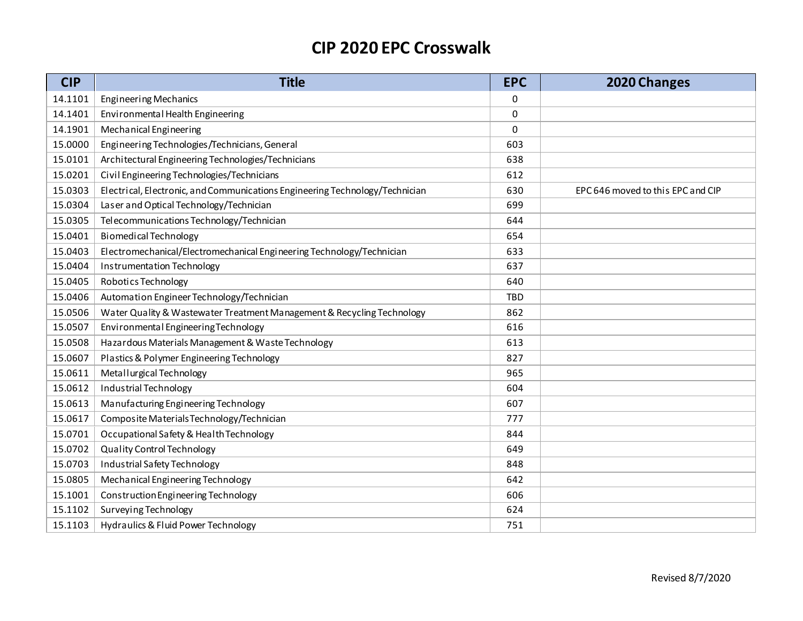| <b>CIP</b> | <b>Title</b>                                                                 | <b>EPC</b> | 2020 Changes                      |
|------------|------------------------------------------------------------------------------|------------|-----------------------------------|
| 14.1101    | Engineering Mechanics                                                        | 0          |                                   |
| 14.1401    | Environmental Health Engineering                                             | 0          |                                   |
| 14.1901    | Mechanical Engineering                                                       | 0          |                                   |
| 15.0000    | Engineering Technologies/Technicians, General                                | 603        |                                   |
| 15.0101    | Architectural Engineering Technologies/Technicians                           | 638        |                                   |
| 15.0201    | Civil Engineering Technologies/Technicians                                   | 612        |                                   |
| 15.0303    | Electrical, Electronic, and Communications Engineering Technology/Technician | 630        | EPC 646 moved to this EPC and CIP |
| 15.0304    | Laser and Optical Technology/Technician                                      | 699        |                                   |
| 15.0305    | Telecommunications Technology/Technician                                     | 644        |                                   |
| 15.0401    | <b>Biomedical Technology</b>                                                 | 654        |                                   |
| 15.0403    | Electromechanical/Electromechanical Engineering Technology/Technician        | 633        |                                   |
| 15.0404    | Instrumentation Technology                                                   | 637        |                                   |
| 15.0405    | Robotics Technology                                                          | 640        |                                   |
| 15.0406    | Automation Engineer Technology/Technician                                    | <b>TBD</b> |                                   |
| 15.0506    | Water Quality & Wastewater Treatment Management & Recycling Technology       | 862        |                                   |
| 15.0507    | Environmental Engineering Technology                                         | 616        |                                   |
| 15.0508    | Hazardous Materials Management & Waste Technology                            | 613        |                                   |
| 15.0607    | Plastics & Polymer Engineering Technology                                    | 827        |                                   |
| 15.0611    | Metallurgical Technology                                                     | 965        |                                   |
| 15.0612    | Industrial Technology                                                        | 604        |                                   |
| 15.0613    | Manufacturing Engineering Technology                                         | 607        |                                   |
| 15.0617    | Composite Materials Technology/Technician                                    | 777        |                                   |
| 15.0701    | Occupational Safety & Health Technology                                      | 844        |                                   |
| 15.0702    | Quality Control Technology                                                   | 649        |                                   |
| 15.0703    | Industrial Safety Technology                                                 | 848        |                                   |
| 15.0805    | Mechanical Engineering Technology                                            | 642        |                                   |
| 15.1001    | Construction Engineering Technology                                          | 606        |                                   |
| 15.1102    | Surveying Technology                                                         | 624        |                                   |
| 15.1103    | Hydraulics & Fluid Power Technology                                          | 751        |                                   |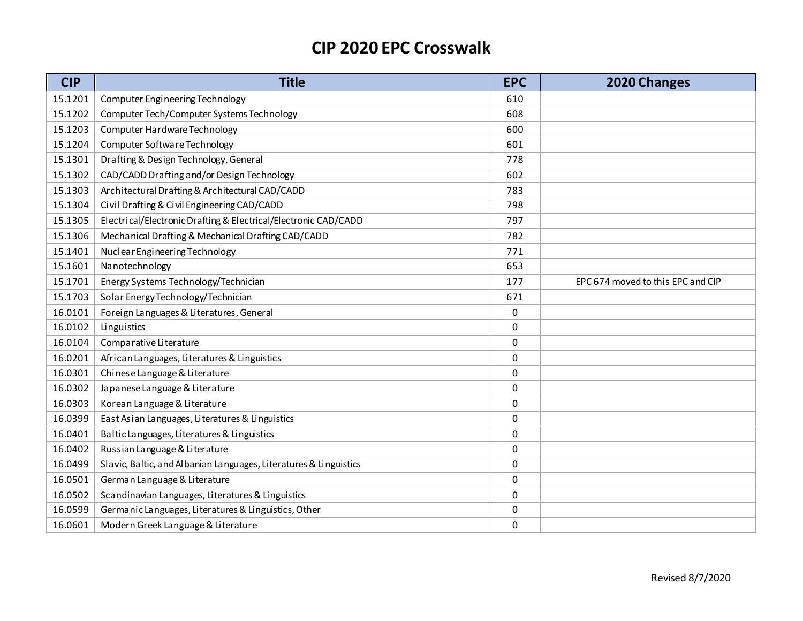| <b>CIP</b> | <b>Title</b>                                                      | <b>EPC</b> | 2020 Changes                      |
|------------|-------------------------------------------------------------------|------------|-----------------------------------|
| 15.1201    | <b>Computer Engineering Technology</b>                            | 610        |                                   |
| 15.1202    | Computer Tech/Computer Systems Technology                         | 608        |                                   |
| 15.1203    | Computer Hardware Technology                                      | 600        |                                   |
| 15.1204    | Computer Software Technology                                      | 601        |                                   |
| 15.1301    | Drafting & Design Technology, General                             | 778        |                                   |
| 15.1302    | CAD/CADD Drafting and/or Design Technology                        | 602        |                                   |
| 15.1303    | Architectural Drafting & Architectural CAD/CADD                   | 783        |                                   |
| 15.1304    | Civil Drafting & Civil Engineering CAD/CADD                       | 798        |                                   |
| 15.1305    | Electrical/Electronic Drafting & Electrical/Electronic CAD/CADD   | 797        |                                   |
| 15.1306    | Mechanical Drafting & Mechanical Drafting CAD/CADD                | 782        |                                   |
| 15.1401    | Nuclear Engineering Technology                                    | 771        |                                   |
| 15.1601    | Nanotechnology                                                    | 653        |                                   |
| 15.1701    | Energy Systems Technology/Technician                              | 177        | EPC 674 moved to this EPC and CIP |
| 15.1703    | Solar Energy Technology/Technician                                | 671        |                                   |
| 16.0101    | Foreign Languages & Literatures, General                          | 0          |                                   |
| 16.0102    | Linguistics                                                       | 0          |                                   |
| 16.0104    | Comparative Literature                                            | 0          |                                   |
| 16.0201    | African Languages, Literatures & Linguistics                      | 0          |                                   |
| 16.0301    | Chinese Language & Literature                                     | 0          |                                   |
| 16.0302    | Japanese Language & Literature                                    | 0          |                                   |
| 16.0303    | Korean Language & Literature                                      | 0          |                                   |
| 16.0399    | East Asian Languages, Literatures & Linguistics                   | 0          |                                   |
| 16.0401    | Baltic Languages, Literatures & Linguistics                       | 0          |                                   |
| 16.0402    | Russian Language & Literature                                     | 0          |                                   |
| 16.0499    | Slavic, Baltic, and Albanian Languages, Literatures & Linguistics | 0          |                                   |
| 16.0501    | German Language & Literature                                      | 0          |                                   |
| 16.0502    | Scandinavian Languages, Literatures & Linguistics                 | $\pmb{0}$  |                                   |
| 16.0599    | Germanic Languages, Literatures & Linguistics, Other              | 0          |                                   |
| 16.0601    | Modern Greek Language & Literature                                | 0          |                                   |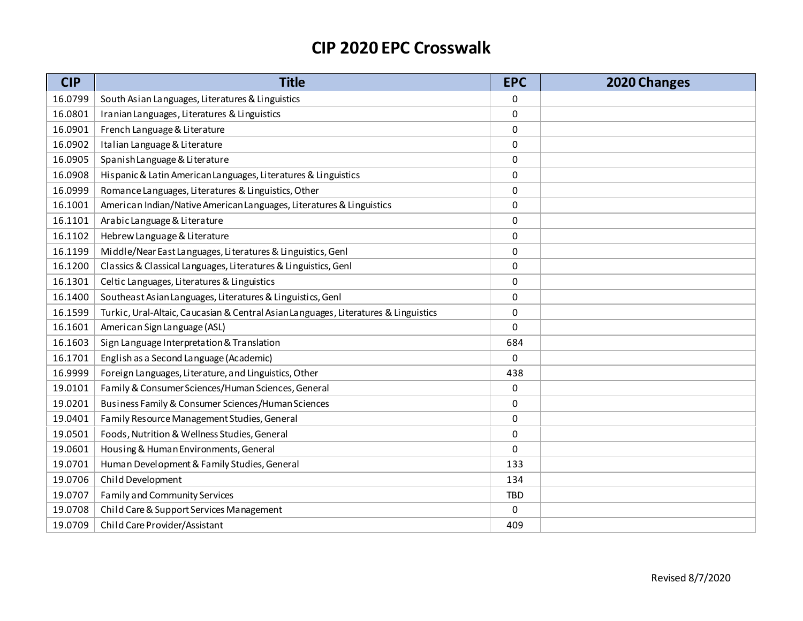| <b>CIP</b> | <b>Title</b>                                                                        | <b>EPC</b> | 2020 Changes |
|------------|-------------------------------------------------------------------------------------|------------|--------------|
| 16.0799    | South Asian Languages, Literatures & Linguistics                                    | 0          |              |
| 16.0801    | Iranian Languages, Literatures & Linguistics                                        | 0          |              |
| 16.0901    | French Language & Literature                                                        | 0          |              |
| 16.0902    | Italian Language & Literature                                                       | $\Omega$   |              |
| 16.0905    | Spanish Language & Literature                                                       | 0          |              |
| 16.0908    | Hispanic & Latin American Languages, Literatures & Linguistics                      | 0          |              |
| 16.0999    | Romance Languages, Literatures & Linguistics, Other                                 | 0          |              |
| 16.1001    | American Indian/Native American Languages, Literatures & Linguistics                | $\Omega$   |              |
| 16.1101    | Arabic Language & Literature                                                        | 0          |              |
| 16.1102    | Hebrew Language & Literature                                                        | 0          |              |
| 16.1199    | Middle/Near East Languages, Literatures & Linguistics, Genl                         | 0          |              |
| 16.1200    | Classics & Classical Languages, Literatures & Linguistics, Genl                     | 0          |              |
| 16.1301    | Celtic Languages, Literatures & Linguistics                                         | 0          |              |
| 16.1400    | Southeast Asian Languages, Literatures & Linguistics, Genl                          | 0          |              |
| 16.1599    | Turkic, Ural-Altaic, Caucasian & Central Asian Languages, Literatures & Linguistics | 0          |              |
| 16.1601    | American Sign Language (ASL)                                                        | $\Omega$   |              |
| 16.1603    | Sign Language Interpretation & Translation                                          | 684        |              |
| 16.1701    | English as a Second Language (Academic)                                             | 0          |              |
| 16.9999    | Foreign Languages, Literature, and Linguistics, Other                               | 438        |              |
| 19.0101    | Family & Consumer Sciences/Human Sciences, General                                  | 0          |              |
| 19.0201    | Business Family & Consumer Sciences/Human Sciences                                  | 0          |              |
| 19.0401    | Family Resource Management Studies, General                                         | 0          |              |
| 19.0501    | Foods, Nutrition & Wellness Studies, General                                        | 0          |              |
| 19.0601    | Housing & Human Environments, General                                               | 0          |              |
| 19.0701    | Human Development & Family Studies, General                                         | 133        |              |
| 19.0706    | Child Development                                                                   | 134        |              |
| 19.0707    | Family and Community Services                                                       | <b>TBD</b> |              |
| 19.0708    | Child Care & Support Services Management                                            | 0          |              |
| 19.0709    | Child Care Provider/Assistant                                                       | 409        |              |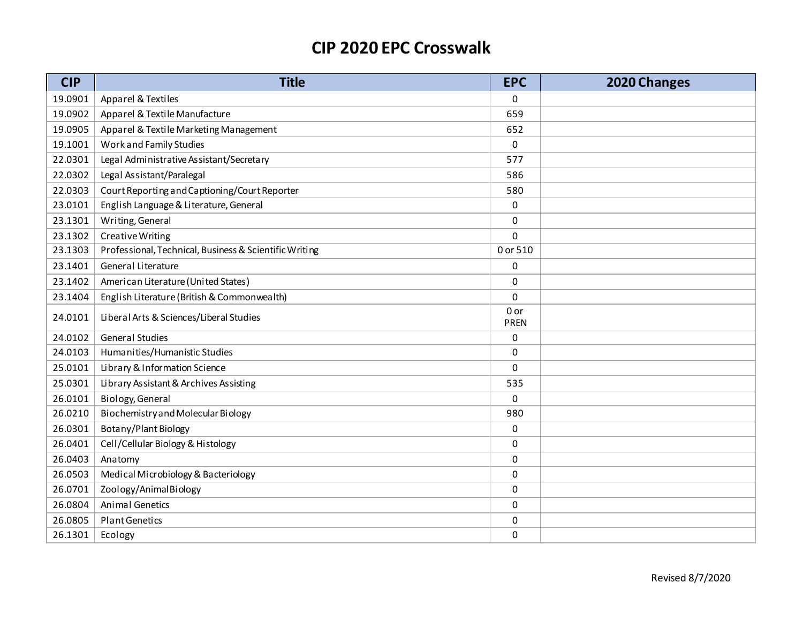| <b>CIP</b> | <b>Title</b>                                           | <b>EPC</b>          | 2020 Changes |
|------------|--------------------------------------------------------|---------------------|--------------|
| 19.0901    | Apparel & Textiles                                     | 0                   |              |
| 19.0902    | Apparel & Textile Manufacture                          | 659                 |              |
| 19.0905    | Apparel & Textile Marketing Management                 | 652                 |              |
| 19.1001    | Work and Family Studies                                | 0                   |              |
| 22.0301    | Legal Administrative Assistant/Secretary               | 577                 |              |
| 22.0302    | Legal Assistant/Paralegal                              | 586                 |              |
| 22.0303    | Court Reporting and Captioning/Court Reporter          | 580                 |              |
| 23.0101    | English Language & Literature, General                 | 0                   |              |
| 23.1301    | Writing, General                                       | 0                   |              |
| 23.1302    | Creative Writing                                       | $\mathbf 0$         |              |
| 23.1303    | Professional, Technical, Business & Scientific Writing | 0 or 510            |              |
| 23.1401    | General Literature                                     | 0                   |              |
| 23.1402    | American Literature (United States)                    | 0                   |              |
| 23.1404    | English Literature (British & Commonwealth)            | $\mathbf 0$         |              |
| 24.0101    | Liberal Arts & Sciences/Liberal Studies                | 0 or<br><b>PREN</b> |              |
| 24.0102    | <b>General Studies</b>                                 | 0                   |              |
| 24.0103    | Humanities/Humanistic Studies                          | 0                   |              |
| 25.0101    | Library & Information Science                          | $\Omega$            |              |
| 25.0301    | Library Assistant & Archives Assisting                 | 535                 |              |
| 26.0101    | Biology, General                                       | $\mathbf 0$         |              |
| 26.0210    | Biochemistry and Molecular Biology                     | 980                 |              |
| 26.0301    | Botany/Plant Biology                                   | 0                   |              |
| 26.0401    | Cell/Cellular Biology & Histology                      | $\mathbf 0$         |              |
| 26.0403    | Anatomy                                                | 0                   |              |
| 26.0503    | Medical Microbiology & Bacteriology                    | $\mathbf 0$         |              |
| 26.0701    | Zoology/AnimalBiology                                  | 0                   |              |
| 26.0804    | <b>Animal Genetics</b>                                 | 0                   |              |
| 26.0805    | Plant Genetics                                         | 0                   |              |
| 26.1301    | Ecology                                                | 0                   |              |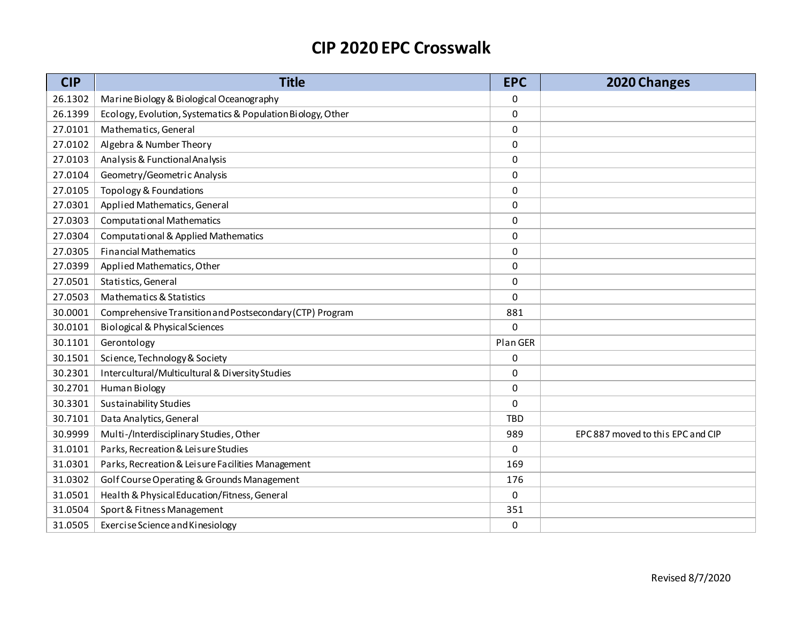| <b>CIP</b> | <b>Title</b>                                                | <b>EPC</b> | 2020 Changes                      |
|------------|-------------------------------------------------------------|------------|-----------------------------------|
| 26.1302    | Marine Biology & Biological Oceanography                    | 0          |                                   |
| 26.1399    | Ecology, Evolution, Systematics & Population Biology, Other | 0          |                                   |
| 27.0101    | Mathematics, General                                        | 0          |                                   |
| 27.0102    | Algebra & Number Theory                                     | 0          |                                   |
| 27.0103    | Analysis & Functional Analysis                              | 0          |                                   |
| 27.0104    | Geometry/Geometric Analysis                                 | 0          |                                   |
| 27.0105    | Topology & Foundations                                      | 0          |                                   |
| 27.0301    | Applied Mathematics, General                                | $\Omega$   |                                   |
| 27.0303    | <b>Computational Mathematics</b>                            | 0          |                                   |
| 27.0304    | <b>Computational &amp; Applied Mathematics</b>              | 0          |                                   |
| 27.0305    | <b>Financial Mathematics</b>                                | 0          |                                   |
| 27.0399    | Applied Mathematics, Other                                  | 0          |                                   |
| 27.0501    | Statistics, General                                         | 0          |                                   |
| 27.0503    | Mathematics & Statistics                                    | 0          |                                   |
| 30.0001    | Comprehensive Transition and Postsecondary (CTP) Program    | 881        |                                   |
| 30.0101    | <b>Biological &amp; Physical Sciences</b>                   | 0          |                                   |
| 30.1101    | Gerontology                                                 | Plan GER   |                                   |
| 30.1501    | Science, Technology & Society                               | 0          |                                   |
| 30.2301    | Intercultural/Multicultural & Diversity Studies             | 0          |                                   |
| 30.2701    | <b>Human Biology</b>                                        | 0          |                                   |
| 30.3301    | <b>Sustainability Studies</b>                               | 0          |                                   |
| 30.7101    | Data Analytics, General                                     | <b>TBD</b> |                                   |
| 30.9999    | Multi-/Interdisciplinary Studies, Other                     | 989        | EPC 887 moved to this EPC and CIP |
| 31.0101    | Parks, Recreation & Leisure Studies                         | 0          |                                   |
| 31.0301    | Parks, Recreation & Leisure Facilities Management           | 169        |                                   |
| 31.0302    | Golf Course Operating & Grounds Management                  | 176        |                                   |
| 31.0501    | Health & Physical Education/Fitness, General                | 0          |                                   |
| 31.0504    | Sport & Fitness Management                                  | 351        |                                   |
| 31.0505    | Exercise Science and Kinesiology                            | 0          |                                   |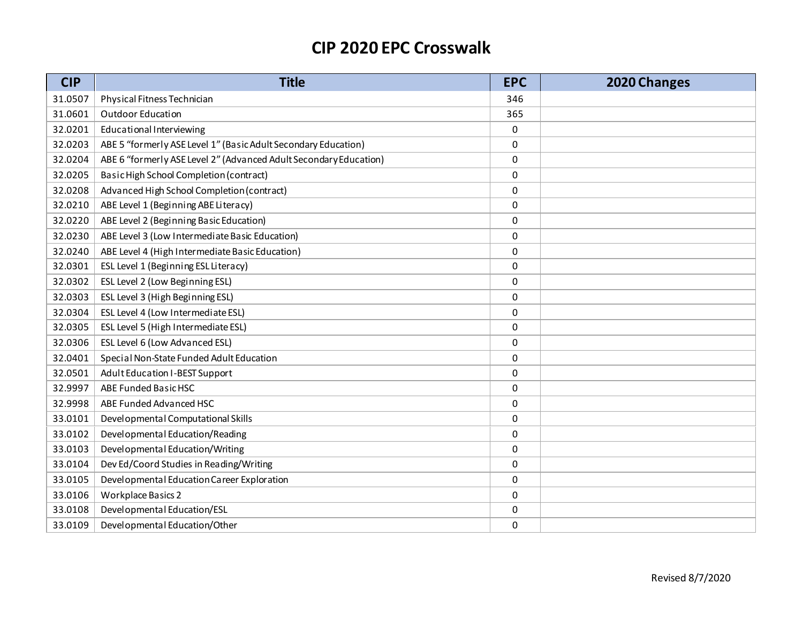| <b>CIP</b> | <b>Title</b>                                                      | <b>EPC</b> | 2020 Changes |
|------------|-------------------------------------------------------------------|------------|--------------|
| 31.0507    | Physical Fitness Technician                                       | 346        |              |
| 31.0601    | Outdoor Education                                                 | 365        |              |
| 32.0201    | Educational Interviewing                                          | 0          |              |
| 32.0203    | ABE 5 "formerly ASE Level 1" (Basic Adult Secondary Education)    | 0          |              |
| 32.0204    | ABE 6 "formerly ASE Level 2" (Advanced Adult Secondary Education) | $\pmb{0}$  |              |
| 32.0205    | Basic High School Completion (contract)                           | 0          |              |
| 32.0208    | Advanced High School Completion (contract)                        | 0          |              |
| 32.0210    | ABE Level 1 (Beginning ABE Literacy)                              | 0          |              |
| 32.0220    | ABE Level 2 (Beginning Basic Education)                           | 0          |              |
| 32.0230    | ABE Level 3 (Low Intermediate Basic Education)                    | 0          |              |
| 32.0240    | ABE Level 4 (High Intermediate Basic Education)                   | 0          |              |
| 32.0301    | ESL Level 1 (Beginning ESL Literacy)                              | 0          |              |
| 32.0302    | ESL Level 2 (Low Beginning ESL)                                   | $\pmb{0}$  |              |
| 32.0303    | ESL Level 3 (High Beginning ESL)                                  | 0          |              |
| 32.0304    | ESL Level 4 (Low Intermediate ESL)                                | 0          |              |
| 32.0305    | ESL Level 5 (High Intermediate ESL)                               | 0          |              |
| 32.0306    | ESL Level 6 (Low Advanced ESL)                                    | 0          |              |
| 32.0401    | Special Non-State Funded Adult Education                          | 0          |              |
| 32.0501    | Adult Education I-BEST Support                                    | 0          |              |
| 32.9997    | ABE Funded Basic HSC                                              | 0          |              |
| 32.9998    | ABE Funded Advanced HSC                                           | 0          |              |
| 33.0101    | Developmental Computational Skills                                | 0          |              |
| 33.0102    | Developmental Education/Reading                                   | 0          |              |
| 33.0103    | Developmental Education/Writing                                   | 0          |              |
| 33.0104    | Dev Ed/Coord Studies in Reading/Writing                           | 0          |              |
| 33.0105    | Developmental Education Career Exploration                        | 0          |              |
| 33.0106    | Workplace Basics 2                                                | 0          |              |
| 33.0108    | Developmental Education/ESL                                       | 0          |              |
| 33.0109    | Developmental Education/Other                                     | $\Omega$   |              |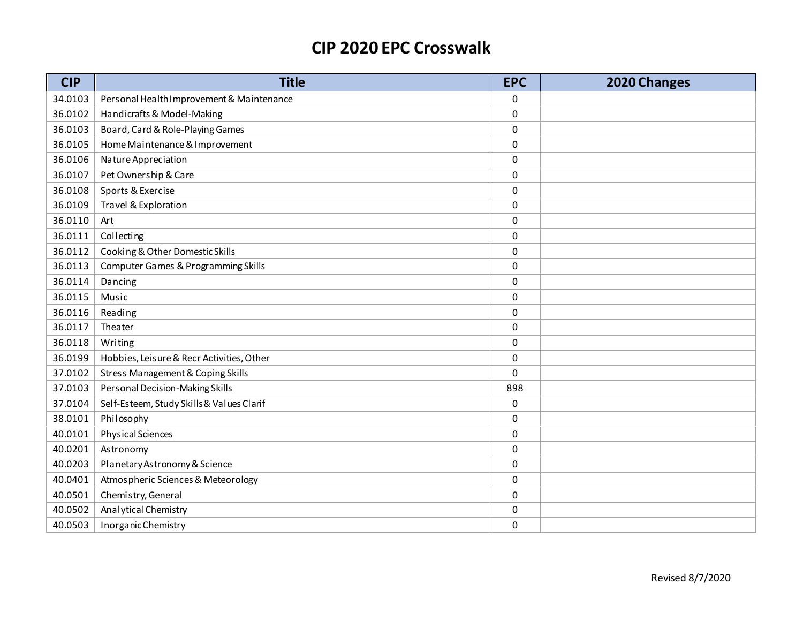| <b>CIP</b> | <b>Title</b>                              | <b>EPC</b> | 2020 Changes |
|------------|-------------------------------------------|------------|--------------|
| 34.0103    | Personal Health Improvement & Maintenance | 0          |              |
| 36.0102    | Handicrafts & Model-Making                | 0          |              |
| 36.0103    | Board, Card & Role-Playing Games          | 0          |              |
| 36.0105    | Home Maintenance & Improvement            | 0          |              |
| 36.0106    | Nature Appreciation                       | 0          |              |
| 36.0107    | Pet Ownership & Care                      | 0          |              |
| 36.0108    | Sports & Exercise                         | 0          |              |
| 36.0109    | Travel & Exploration                      | 0          |              |
| 36.0110    | Art                                       | 0          |              |
| 36.0111    | Collecting                                | 0          |              |
| 36.0112    | Cooking & Other Domestic Skills           | 0          |              |
| 36.0113    | Computer Games & Programming Skills       | 0          |              |
| 36.0114    | Dancing                                   | 0          |              |
| 36.0115    | Music                                     | 0          |              |
| 36.0116    | Reading                                   | 0          |              |
| 36.0117    | Theater                                   | 0          |              |
| 36.0118    | Writing                                   | 0          |              |
| 36.0199    | Hobbies, Leisure & Recr Activities, Other | 0          |              |
| 37.0102    | Stress Management & Coping Skills         | 0          |              |
| 37.0103    | Personal Decision-Making Skills           | 898        |              |
| 37.0104    | Self-Esteem, Study Skills & Values Clarif | 0          |              |
| 38.0101    | Philosophy                                | 0          |              |
| 40.0101    | <b>Physical Sciences</b>                  | 0          |              |
| 40.0201    | Astronomy                                 | 0          |              |
| 40.0203    | Planetary Astronomy & Science             | 0          |              |
| 40.0401    | Atmospheric Sciences & Meteorology        | 0          |              |
| 40.0501    | Chemistry, General                        | 0          |              |
| 40.0502    | Analytical Chemistry                      | 0          |              |
| 40.0503    | Inorganic Chemistry                       | 0          |              |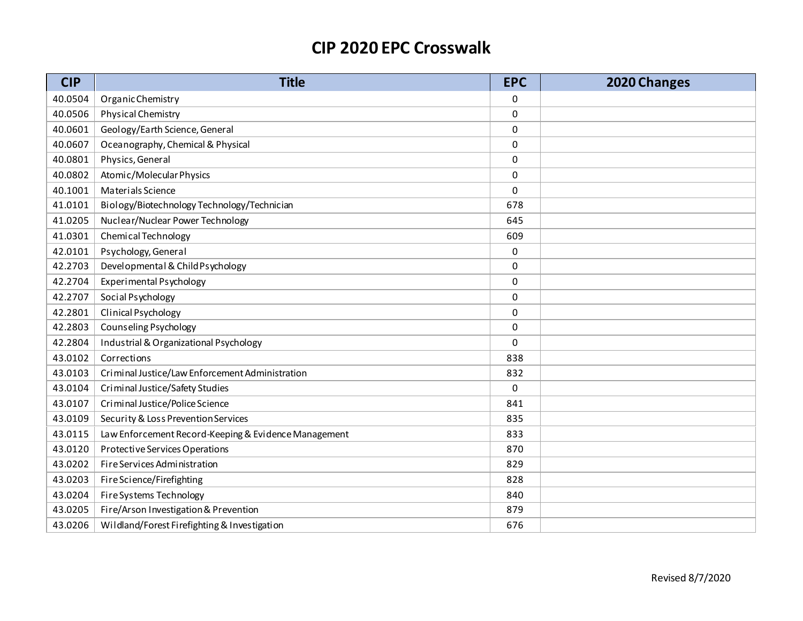| <b>CIP</b> | <b>Title</b>                                         | <b>EPC</b> | 2020 Changes |
|------------|------------------------------------------------------|------------|--------------|
| 40.0504    | Organic Chemistry                                    | 0          |              |
| 40.0506    | <b>Physical Chemistry</b>                            | 0          |              |
| 40.0601    | Geology/Earth Science, General                       | 0          |              |
| 40.0607    | Oceanography, Chemical & Physical                    | 0          |              |
| 40.0801    | Physics, General                                     | 0          |              |
| 40.0802    | Atomic/Molecular Physics                             | 0          |              |
| 40.1001    | Materials Science                                    | 0          |              |
| 41.0101    | Biology/Biotechnology Technology/Technician          | 678        |              |
| 41.0205    | Nuclear/Nuclear Power Technology                     | 645        |              |
| 41.0301    | Chemical Technology                                  | 609        |              |
| 42.0101    | Psychology, General                                  | 0          |              |
| 42.2703    | Developmental & Child Psychology                     | 0          |              |
| 42.2704    | Experimental Psychology                              | $\pmb{0}$  |              |
| 42.2707    | Social Psychology                                    | 0          |              |
| 42.2801    | Clinical Psychology                                  | 0          |              |
| 42.2803    | Counseling Psychology                                | 0          |              |
| 42.2804    | Industrial & Organizational Psychology               | 0          |              |
| 43.0102    | Corrections                                          | 838        |              |
| 43.0103    | Criminal Justice/Law Enforcement Administration      | 832        |              |
| 43.0104    | Criminal Justice/Safety Studies                      | 0          |              |
| 43.0107    | Criminal Justice/Police Science                      | 841        |              |
| 43.0109    | Security & Loss Prevention Services                  | 835        |              |
| 43.0115    | Law Enforcement Record-Keeping & Evidence Management | 833        |              |
| 43.0120    | Protective Services Operations                       | 870        |              |
| 43.0202    | Fire Services Administration                         | 829        |              |
| 43.0203    | Fire Science/Firefighting                            | 828        |              |
| 43.0204    | Fire Systems Technology                              | 840        |              |
| 43.0205    | Fire/Arson Investigation & Prevention                | 879        |              |
| 43.0206    | Wildland/Forest Firefighting & Investigation         | 676        |              |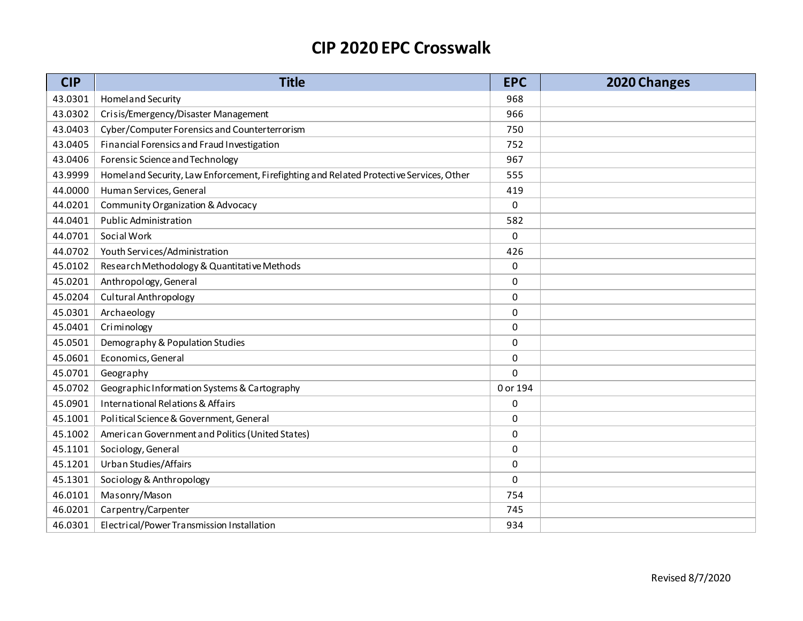| <b>CIP</b> | <b>Title</b>                                                                            | <b>EPC</b> | 2020 Changes |
|------------|-----------------------------------------------------------------------------------------|------------|--------------|
| 43.0301    | Homel and Security                                                                      | 968        |              |
| 43.0302    | Crisis/Emergency/Disaster Management                                                    | 966        |              |
| 43.0403    | Cyber/Computer Forensics and Counterterrorism                                           | 750        |              |
| 43.0405    | Financial Forensics and Fraud Investigation                                             | 752        |              |
| 43.0406    | Forensic Science and Technology                                                         | 967        |              |
| 43.9999    | Homeland Security, Law Enforcement, Firefighting and Related Protective Services, Other | 555        |              |
| 44.0000    | Human Services, General                                                                 | 419        |              |
| 44.0201    | <b>Community Organization &amp; Advocacy</b>                                            | 0          |              |
| 44.0401    | <b>Public Administration</b>                                                            | 582        |              |
| 44.0701    | Social Work                                                                             | 0          |              |
| 44.0702    | Youth Services/Administration                                                           | 426        |              |
| 45.0102    | Research Methodology & Quantitative Methods                                             | 0          |              |
| 45.0201    | Anthropology, General                                                                   | 0          |              |
| 45.0204    | <b>Cultural Anthropology</b>                                                            | 0          |              |
| 45.0301    | Archaeology                                                                             | 0          |              |
| 45.0401    | Criminology                                                                             | 0          |              |
| 45.0501    | Demography & Population Studies                                                         | 0          |              |
| 45.0601    | Economics, General                                                                      | 0          |              |
| 45.0701    | Geography                                                                               | 0          |              |
| 45.0702    | Geographic Information Systems & Cartography                                            | 0 or 194   |              |
| 45.0901    | International Relations & Affairs                                                       | 0          |              |
| 45.1001    | Political Science & Government, General                                                 | 0          |              |
| 45.1002    | American Government and Politics (United States)                                        | 0          |              |
| 45.1101    | Sociology, General                                                                      | 0          |              |
| 45.1201    | Urban Studies/Affairs                                                                   | 0          |              |
| 45.1301    | Sociology & Anthropology                                                                | 0          |              |
| 46.0101    | Masonry/Mason                                                                           | 754        |              |
| 46.0201    | Carpentry/Carpenter                                                                     | 745        |              |
| 46.0301    | Electrical/Power Transmission Installation                                              | 934        |              |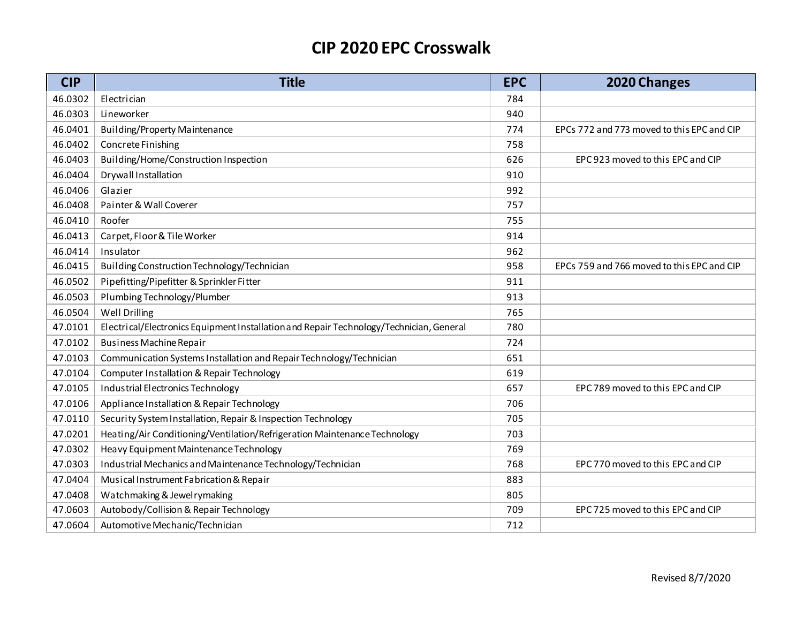| <b>CIP</b> | <b>Title</b>                                                                            | <b>EPC</b> | 2020 Changes                               |
|------------|-----------------------------------------------------------------------------------------|------------|--------------------------------------------|
| 46.0302    | Electrician                                                                             | 784        |                                            |
| 46.0303    | Lineworker                                                                              | 940        |                                            |
| 46.0401    | <b>Building/Property Maintenance</b>                                                    | 774        | EPCs 772 and 773 moved to this EPC and CIP |
| 46.0402    | Concrete Finishing                                                                      | 758        |                                            |
| 46.0403    | Building/Home/Construction Inspection                                                   | 626        | EPC 923 moved to this EPC and CIP          |
| 46.0404    | Drywall Installation                                                                    | 910        |                                            |
| 46.0406    | Glazier                                                                                 | 992        |                                            |
| 46.0408    | Painter & Wall Coverer                                                                  | 757        |                                            |
| 46.0410    | Roofer                                                                                  | 755        |                                            |
| 46.0413    | Carpet, Floor & Tile Worker                                                             | 914        |                                            |
| 46.0414    | Insulator                                                                               | 962        |                                            |
| 46.0415    | Building Construction Technology/Technician                                             | 958        | EPCs 759 and 766 moved to this EPC and CIP |
| 46.0502    | Pipefitting/Pipefitter & Sprinkler Fitter                                               | 911        |                                            |
| 46.0503    | Plumbing Technology/Plumber                                                             | 913        |                                            |
| 46.0504    | Well Drilling                                                                           | 765        |                                            |
| 47.0101    | Electrical/Electronics Equipment Installation and Repair Technology/Technician, General | 780        |                                            |
| 47.0102    | <b>Business Machine Repair</b>                                                          | 724        |                                            |
| 47.0103    | Communication Systems Installation and Repair Technology/Technician                     | 651        |                                            |
| 47.0104    | Computer Installation & Repair Technology                                               | 619        |                                            |
| 47.0105    | Industrial Electronics Technology                                                       | 657        | EPC 789 moved to this EPC and CIP          |
| 47.0106    | Appliance Installation & Repair Technology                                              | 706        |                                            |
| 47.0110    | Security System Installation, Repair & Inspection Technology                            | 705        |                                            |
| 47.0201    | Heating/Air Conditioning/Ventilation/Refrigeration Maintenance Technology               | 703        |                                            |
| 47.0302    | Heavy Equipment Maintenance Technology                                                  | 769        |                                            |
| 47.0303    | Industrial Mechanics and Maintenance Technology/Technician                              | 768        | EPC 770 moved to this EPC and CIP          |
| 47.0404    | Musical Instrument Fabrication & Repair                                                 | 883        |                                            |
| 47.0408    | Watchmaking & Jewelrymaking                                                             | 805        |                                            |
| 47.0603    | Autobody/Collision & Repair Technology                                                  | 709        | EPC 725 moved to this EPC and CIP          |
| 47.0604    | Automotive Mechanic/Technician                                                          | 712        |                                            |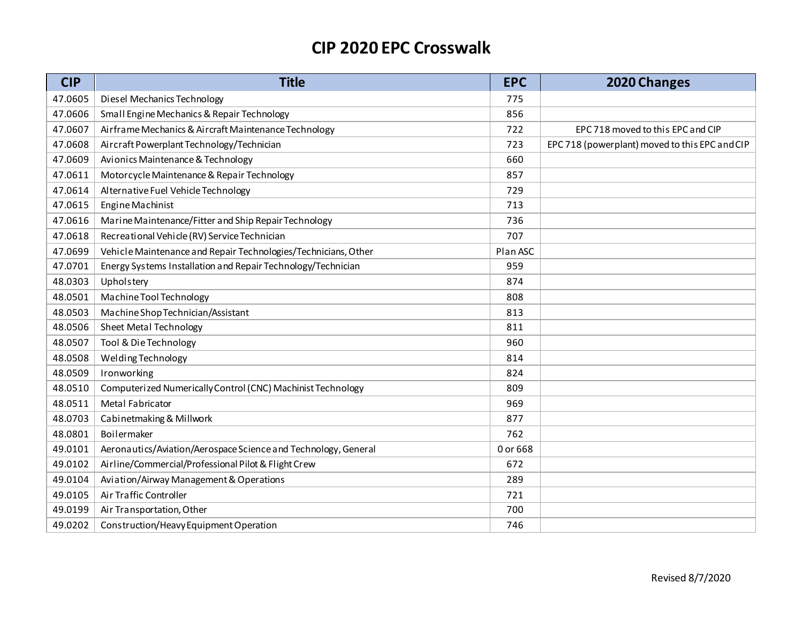| <b>CIP</b> | <b>Title</b>                                                   | <b>EPC</b> | 2020 Changes                                   |
|------------|----------------------------------------------------------------|------------|------------------------------------------------|
| 47.0605    | Diesel Mechanics Technology                                    | 775        |                                                |
| 47.0606    | Small Engine Mechanics & Repair Technology                     | 856        |                                                |
| 47.0607    | Airframe Mechanics & Aircraft Maintenance Technology           | 722        | EPC 718 moved to this EPC and CIP              |
| 47.0608    | Aircraft Powerplant Technology/Technician                      | 723        | EPC 718 (powerplant) moved to this EPC and CIP |
| 47.0609    | Avionics Maintenance & Technology                              | 660        |                                                |
| 47.0611    | Motorcycle Maintenance & Repair Technology                     | 857        |                                                |
| 47.0614    | Alternative Fuel Vehicle Technology                            | 729        |                                                |
| 47.0615    | Engine Machinist                                               | 713        |                                                |
| 47.0616    | Marine Maintenance/Fitter and Ship Repair Technology           | 736        |                                                |
| 47.0618    | Recreational Vehicle (RV) Service Technician                   | 707        |                                                |
| 47.0699    | Vehicle Maintenance and Repair Technologies/Technicians, Other | Plan ASC   |                                                |
| 47.0701    | Energy Systems Installation and Repair Technology/Technician   | 959        |                                                |
| 48.0303    | Upholstery                                                     | 874        |                                                |
| 48.0501    | Machine Tool Technology                                        | 808        |                                                |
| 48.0503    | Machine Shop Technician/Assistant                              | 813        |                                                |
| 48.0506    | <b>Sheet Metal Technology</b>                                  | 811        |                                                |
| 48.0507    | Tool & Die Technology                                          | 960        |                                                |
| 48.0508    | Welding Technology                                             | 814        |                                                |
| 48.0509    | Ironworking                                                    | 824        |                                                |
| 48.0510    | Computerized Numerically Control (CNC) Machinist Technology    | 809        |                                                |
| 48.0511    | Metal Fabricator                                               | 969        |                                                |
| 48.0703    | Cabinetmaking & Millwork                                       | 877        |                                                |
| 48.0801    | Boilermaker                                                    | 762        |                                                |
| 49.0101    | Aeronautics/Aviation/Aerospace Science and Technology, General | 0 or 668   |                                                |
| 49.0102    | Airline/Commercial/Professional Pilot & Flight Crew            | 672        |                                                |
| 49.0104    | Aviation/Airway Management & Operations                        | 289        |                                                |
| 49.0105    | Air Traffic Controller                                         | 721        |                                                |
| 49.0199    | Air Transportation, Other                                      | 700        |                                                |
| 49.0202    | Construction/Heavy Equipment Operation                         | 746        |                                                |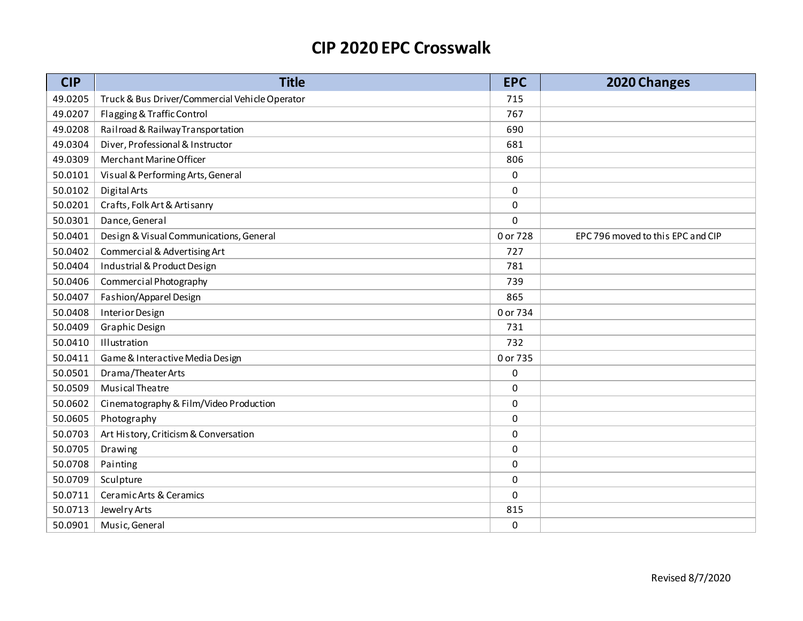| <b>CIP</b> | <b>Title</b>                                   | <b>EPC</b>  | 2020 Changes                      |
|------------|------------------------------------------------|-------------|-----------------------------------|
| 49.0205    | Truck & Bus Driver/Commercial Vehicle Operator | 715         |                                   |
| 49.0207    | Flagging & Traffic Control                     | 767         |                                   |
| 49.0208    | Railroad & Railway Transportation              | 690         |                                   |
| 49.0304    | Diver, Professional & Instructor               | 681         |                                   |
| 49.0309    | Merchant Marine Officer                        | 806         |                                   |
| 50.0101    | Visual & Performing Arts, General              | $\pmb{0}$   |                                   |
| 50.0102    | Digital Arts                                   | 0           |                                   |
| 50.0201    | Crafts, Folk Art & Artisanry                   | $\pmb{0}$   |                                   |
| 50.0301    | Dance, General                                 | $\mathbf 0$ |                                   |
| 50.0401    | Design & Visual Communications, General        | 0 or 728    | EPC 796 moved to this EPC and CIP |
| 50.0402    | Commercial & Advertising Art                   | 727         |                                   |
| 50.0404    | Industrial & Product Design                    | 781         |                                   |
| 50.0406    | Commercial Photography                         | 739         |                                   |
| 50.0407    | Fashion/Apparel Design                         | 865         |                                   |
| 50.0408    | Interior Design                                | 0 or 734    |                                   |
| 50.0409    | <b>Graphic Design</b>                          | 731         |                                   |
| 50.0410    | Illustration                                   | 732         |                                   |
| 50.0411    | Game & Interactive Media Design                | 0 or 735    |                                   |
| 50.0501    | Drama/Theater Arts                             | 0           |                                   |
| 50.0509    | Musical Theatre                                | 0           |                                   |
| 50.0602    | Cinematography & Film/Video Production         | $\mathbf 0$ |                                   |
| 50.0605    | Photography                                    | 0           |                                   |
| 50.0703    | Art History, Criticism & Conversation          | 0           |                                   |
| 50.0705    | Drawing                                        | 0           |                                   |
| 50.0708    | Painting                                       | 0           |                                   |
| 50.0709    | Sculpture                                      | 0           |                                   |
| 50.0711    | Ceramic Arts & Ceramics                        | 0           |                                   |
| 50.0713    | Jewelry Arts                                   | 815         |                                   |
| 50.0901    | Music, General                                 | 0           |                                   |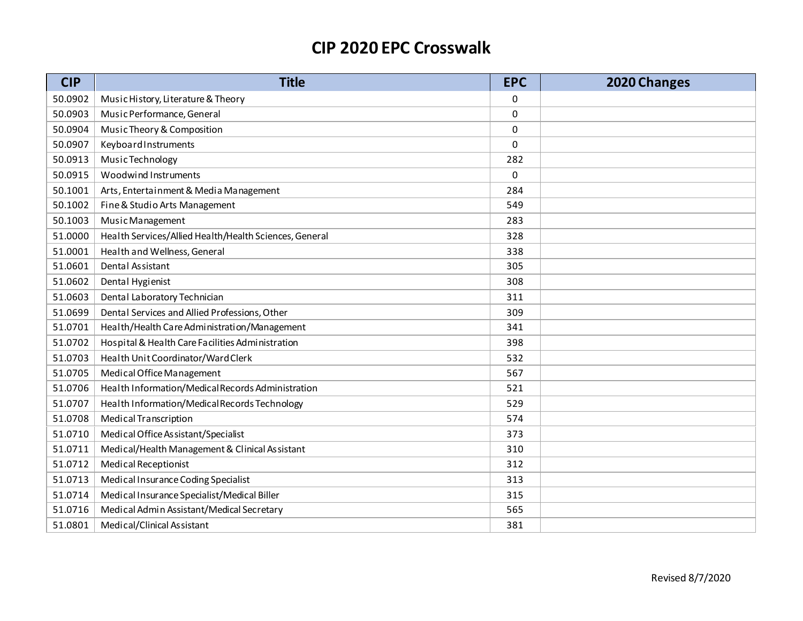| <b>CIP</b> | <b>Title</b>                                           | <b>EPC</b>  | 2020 Changes |
|------------|--------------------------------------------------------|-------------|--------------|
| 50.0902    | Music History, Literature & Theory                     | 0           |              |
| 50.0903    | Music Performance, General                             | 0           |              |
| 50.0904    | Music Theory & Composition                             | 0           |              |
| 50.0907    | KeyboardInstruments                                    | $\mathbf 0$ |              |
| 50.0913    | Music Technology                                       | 282         |              |
| 50.0915    | Woodwind Instruments                                   | $\mathbf 0$ |              |
| 50.1001    | Arts, Entertainment & Media Management                 | 284         |              |
| 50.1002    | Fine & Studio Arts Management                          | 549         |              |
| 50.1003    | Music Management                                       | 283         |              |
| 51.0000    | Health Services/Allied Health/Health Sciences, General | 328         |              |
| 51.0001    | Health and Wellness, General                           | 338         |              |
| 51.0601    | Dental Assistant                                       | 305         |              |
| 51.0602    | Dental Hygienist                                       | 308         |              |
| 51.0603    | Dental Laboratory Technician                           | 311         |              |
| 51.0699    | Dental Services and Allied Professions, Other          | 309         |              |
| 51.0701    | Health/Health Care Administration/Management           | 341         |              |
| 51.0702    | Hospital & Health Care Facilities Administration       | 398         |              |
| 51.0703    | Health Unit Coordinator/Ward Clerk                     | 532         |              |
| 51.0705    | Medical Office Management                              | 567         |              |
| 51.0706    | Health Information/Medical Records Administration      | 521         |              |
| 51.0707    | Health Information/Medical Records Technology          | 529         |              |
| 51.0708    | Medical Transcription                                  | 574         |              |
| 51.0710    | Medical Office Assistant/Specialist                    | 373         |              |
| 51.0711    | Medical/Health Management & Clinical Assistant         | 310         |              |
| 51.0712    | <b>Medical Receptionist</b>                            | 312         |              |
| 51.0713    | Medical Insurance Coding Specialist                    | 313         |              |
| 51.0714    | Medical Insurance Specialist/Medical Biller            | 315         |              |
| 51.0716    | Medical Admin Assistant/Medical Secretary              | 565         |              |
| 51.0801    | Medical/Clinical Assistant                             | 381         |              |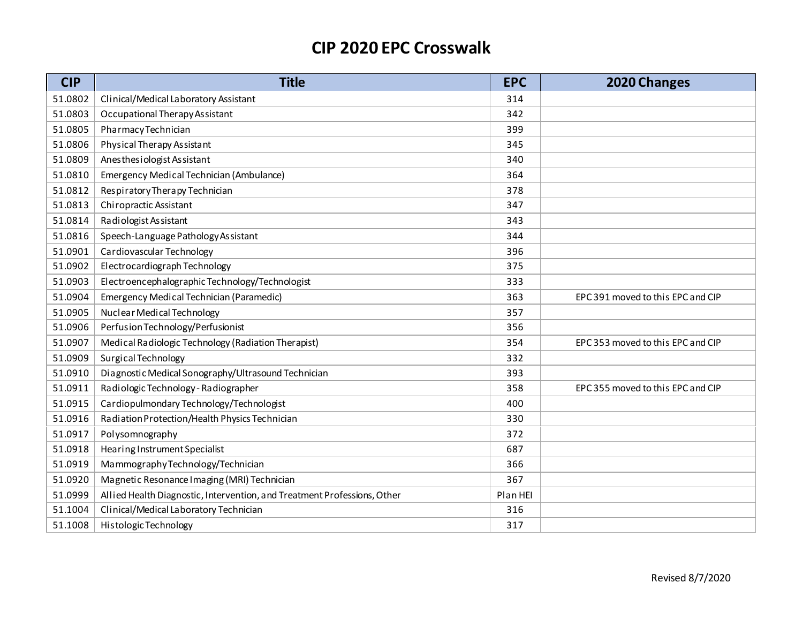| <b>CIP</b> | <b>Title</b>                                                             | <b>EPC</b> | 2020 Changes                      |
|------------|--------------------------------------------------------------------------|------------|-----------------------------------|
| 51.0802    | Clinical/Medical Laboratory Assistant                                    | 314        |                                   |
| 51.0803    | Occupational Therapy Assistant                                           | 342        |                                   |
| 51.0805    | Pharmacy Technician                                                      | 399        |                                   |
| 51.0806    | Physical Therapy Assistant                                               | 345        |                                   |
| 51.0809    | Anesthesiologist Assistant                                               | 340        |                                   |
| 51.0810    | Emergency Medical Technician (Ambulance)                                 | 364        |                                   |
| 51.0812    | Respiratory Therapy Technician                                           | 378        |                                   |
| 51.0813    | Chiropractic Assistant                                                   | 347        |                                   |
| 51.0814    | Radiologist Assistant                                                    | 343        |                                   |
| 51.0816    | Speech-Language Pathology Assistant                                      | 344        |                                   |
| 51.0901    | Cardiovascular Technology                                                | 396        |                                   |
| 51.0902    | Electrocardiograph Technology                                            | 375        |                                   |
| 51.0903    | ElectroencephalographicTechnology/Technologist                           | 333        |                                   |
| 51.0904    | Emergency Medical Technician (Paramedic)                                 | 363        | EPC 391 moved to this EPC and CIP |
| 51.0905    | Nuclear Medical Technology                                               | 357        |                                   |
| 51.0906    | Perfusion Technology/Perfusionist                                        | 356        |                                   |
| 51.0907    | Medical Radiologic Technology (Radiation Therapist)                      | 354        | EPC 353 moved to this EPC and CIP |
| 51.0909    | Surgical Technology                                                      | 332        |                                   |
| 51.0910    | Diagnostic Medical Sonography/Ultrasound Technician                      | 393        |                                   |
| 51.0911    | Radiologic Technology - Radiographer                                     | 358        | EPC 355 moved to this EPC and CIP |
| 51.0915    | Cardiopulmondary Technology/Technologist                                 | 400        |                                   |
| 51.0916    | Radiation Protection/Health Physics Technician                           | 330        |                                   |
| 51.0917    | Polysomnography                                                          | 372        |                                   |
| 51.0918    | Hearing Instrument Specialist                                            | 687        |                                   |
| 51.0919    | Mammography Technology/Technician                                        | 366        |                                   |
| 51.0920    | Magnetic Resonance I maging (MRI) Technician                             | 367        |                                   |
| 51.0999    | Allied Health Diagnostic, Intervention, and Treatment Professions, Other | Plan HEI   |                                   |
| 51.1004    | Clinical/Medical Laboratory Technician                                   | 316        |                                   |
| 51.1008    | Histologic Technology                                                    | 317        |                                   |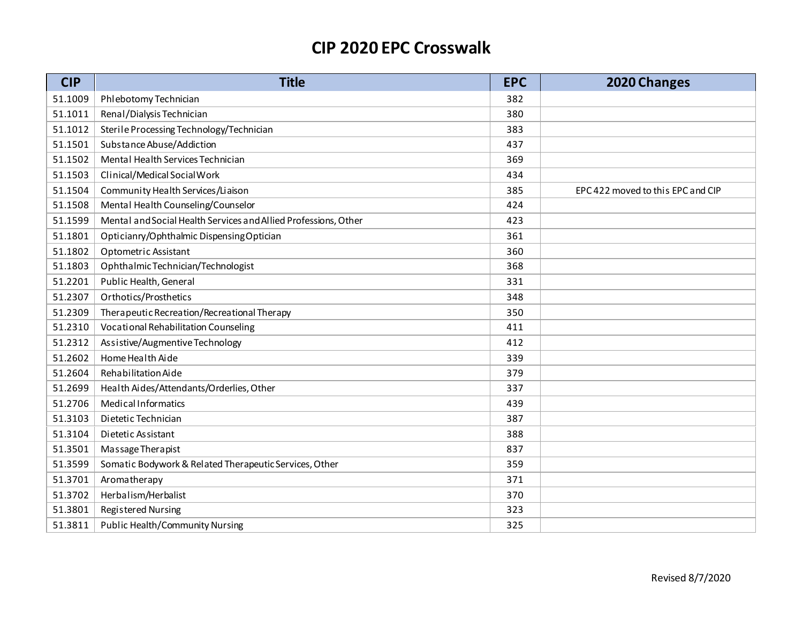| <b>CIP</b> | <b>Title</b>                                                    | <b>EPC</b> | 2020 Changes                      |
|------------|-----------------------------------------------------------------|------------|-----------------------------------|
| 51.1009    | Phlebotomy Technician                                           | 382        |                                   |
| 51.1011    | Renal/Dialysis Technician                                       | 380        |                                   |
| 51.1012    | Sterile Processing Technology/Technician                        | 383        |                                   |
| 51.1501    | Substance Abuse/Addiction                                       | 437        |                                   |
| 51.1502    | Mental Health Services Technician                               | 369        |                                   |
| 51.1503    | Clinical/Medical Social Work                                    | 434        |                                   |
| 51.1504    | Community Health Services/Liaison                               | 385        | EPC 422 moved to this EPC and CIP |
| 51.1508    | Mental Health Counseling/Counselor                              | 424        |                                   |
| 51.1599    | Mental and Social Health Services and Allied Professions, Other | 423        |                                   |
| 51.1801    | Opticianry/Ophthalmic DispensingOptician                        | 361        |                                   |
| 51.1802    | Optometric Assistant                                            | 360        |                                   |
| 51.1803    | Ophthalmic Technician/Technologist                              | 368        |                                   |
| 51.2201    | Public Health, General                                          | 331        |                                   |
| 51.2307    | Orthotics/Prosthetics                                           | 348        |                                   |
| 51.2309    | Therapeutic Recreation/Recreational Therapy                     | 350        |                                   |
| 51.2310    | Vocational Rehabilitation Counseling                            | 411        |                                   |
| 51.2312    | Assistive/Augmentive Technology                                 | 412        |                                   |
| 51.2602    | Home Health Aide                                                | 339        |                                   |
| 51.2604    | Rehabilitation Aide                                             | 379        |                                   |
| 51.2699    | Health Aides/Attendants/Orderlies, Other                        | 337        |                                   |
| 51.2706    | Medical Informatics                                             | 439        |                                   |
| 51.3103    | Di etetic Technician                                            | 387        |                                   |
| 51.3104    | Dietetic Assistant                                              | 388        |                                   |
| 51.3501    | Massage Therapist                                               | 837        |                                   |
| 51.3599    | Somatic Bodywork & Related Therapeutic Services, Other          | 359        |                                   |
| 51.3701    | Aromatherapy                                                    | 371        |                                   |
| 51.3702    | Herbalism/Herbalist                                             | 370        |                                   |
| 51.3801    | <b>Registered Nursing</b>                                       | 323        |                                   |
| 51.3811    | <b>Public Health/Community Nursing</b>                          | 325        |                                   |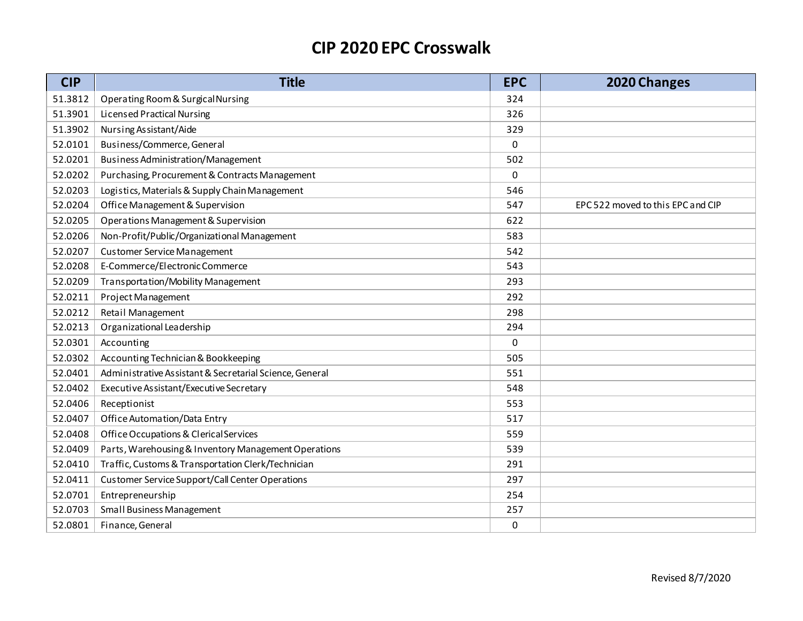| <b>CIP</b> | <b>Title</b>                                            | <b>EPC</b> | 2020 Changes                      |
|------------|---------------------------------------------------------|------------|-----------------------------------|
| 51.3812    | Operating Room & Surgical Nursing                       | 324        |                                   |
| 51.3901    | <b>Licensed Practical Nursing</b>                       | 326        |                                   |
| 51.3902    | Nursing Assistant/Aide                                  | 329        |                                   |
| 52.0101    | Business/Commerce, General                              | 0          |                                   |
| 52.0201    | Business Administration/Management                      | 502        |                                   |
| 52.0202    | Purchasing, Procurement & Contracts Management          | 0          |                                   |
| 52.0203    | Logistics, Materials & Supply Chain Management          | 546        |                                   |
| 52.0204    | Office Management & Supervision                         | 547        | EPC 522 moved to this EPC and CIP |
| 52.0205    | Operations Management & Supervision                     | 622        |                                   |
| 52.0206    | Non-Profit/Public/Organizational Management             | 583        |                                   |
| 52.0207    | <b>Customer Service Management</b>                      | 542        |                                   |
| 52.0208    | E-Commerce/Electronic Commerce                          | 543        |                                   |
| 52.0209    | Transportation/Mobility Management                      | 293        |                                   |
| 52.0211    | Project Management                                      | 292        |                                   |
| 52.0212    | Retail Management                                       | 298        |                                   |
| 52.0213    | Organizational Leadership                               | 294        |                                   |
| 52.0301    | Accounting                                              | 0          |                                   |
| 52.0302    | Accounting Technician & Bookkeeping                     | 505        |                                   |
| 52.0401    | Administrative Assistant & Secretarial Science, General | 551        |                                   |
| 52.0402    | Executive Assistant/Executive Secretary                 | 548        |                                   |
| 52.0406    | Receptionist                                            | 553        |                                   |
| 52.0407    | Office Automation/Data Entry                            | 517        |                                   |
| 52.0408    | Office Occupations & Clerical Services                  | 559        |                                   |
| 52.0409    | Parts, Warehousing & Inventory Management Operations    | 539        |                                   |
| 52.0410    | Traffic, Customs & Transportation Clerk/Technician      | 291        |                                   |
| 52.0411    | Customer Service Support/Call Center Operations         | 297        |                                   |
| 52.0701    | Entrepreneurship                                        | 254        |                                   |
| 52.0703    | Small Business Management                               | 257        |                                   |
| 52.0801    | Finance, General                                        | 0          |                                   |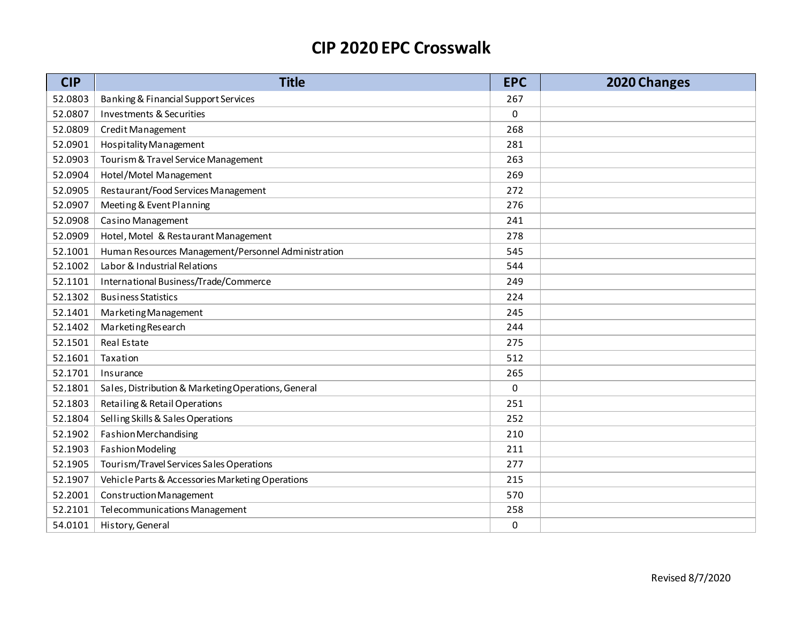| <b>CIP</b> | <b>Title</b>                                        | <b>EPC</b>  | 2020 Changes |
|------------|-----------------------------------------------------|-------------|--------------|
| 52.0803    | Banking & Financial Support Services                | 267         |              |
| 52.0807    | <b>Investments &amp; Securities</b>                 | $\mathbf 0$ |              |
| 52.0809    | Credit Management                                   | 268         |              |
| 52.0901    | Hospitality Management                              | 281         |              |
| 52.0903    | Tourism & Travel Service Management                 | 263         |              |
| 52.0904    | Hotel/Motel Management                              | 269         |              |
| 52.0905    | Restaurant/Food Services Management                 | 272         |              |
| 52.0907    | Meeting & Event Planning                            | 276         |              |
| 52.0908    | Casino Management                                   | 241         |              |
| 52.0909    | Hotel, Motel & Restaurant Management                | 278         |              |
| 52.1001    | Human Resources Management/Personnel Administration | 545         |              |
| 52.1002    | Labor & Industrial Relations                        | 544         |              |
| 52.1101    | International Business/Trade/Commerce               | 249         |              |
| 52.1302    | <b>Business Statistics</b>                          | 224         |              |
| 52.1401    | Marketing Management                                | 245         |              |
| 52.1402    | Marketing Research                                  | 244         |              |
| 52.1501    | Real Estate                                         | 275         |              |
| 52.1601    | Taxation                                            | 512         |              |
| 52.1701    | Insurance                                           | 265         |              |
| 52.1801    | Sales, Distribution & Marketing Operations, General | 0           |              |
| 52.1803    | Retailing & Retail Operations                       | 251         |              |
| 52.1804    | Selling Skills & Sales Operations                   | 252         |              |
| 52.1902    | Fashion Merchandising                               | 210         |              |
| 52.1903    | Fashion Modeling                                    | 211         |              |
| 52.1905    | Tourism/Travel Services Sales Operations            | 277         |              |
| 52.1907    | Vehicle Parts & Accessories Marketing Operations    | 215         |              |
| 52.2001    | Construction Management                             | 570         |              |
| 52.2101    | Telecommunications Management                       | 258         |              |
| 54.0101    | History, General                                    | $\mathbf 0$ |              |